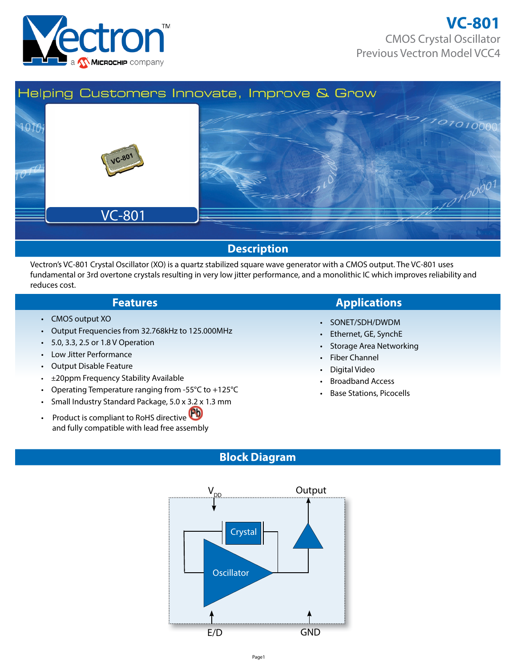



#### Vectron's VC-801 Crystal Oscillator (XO) is a quartz stabilized square wave generator with a CMOS output. The VC-801 uses fundamental or 3rd overtone crystals resulting in very low jitter performance, and a monolithic IC which improves reliability and reduces cost.

- CMOS output XO
- Output Frequencies from 32.768kHz to 125.000MHz
- 5.0, 3.3, 2.5 or 1.8 V Operation
- Low Jitter Performance
- Output Disable Feature
- ±20ppm Frequency Stability Available
- Operating Temperature ranging from -55°C to +125°C
- Small Industry Standard Package, 5.0 x 3.2 x 1.3 mm
- Product is compliant to RoHS directive and fully compatible with lead free assembly

## **Features Applications**

- SONET/SDH/DWDM
- Ethernet, GE, SynchE
- Storage Area Networking
- Fiber Channel
- Digital Video
- Broadband Access
- Base Stations, Picocells

## **Block Diagram**

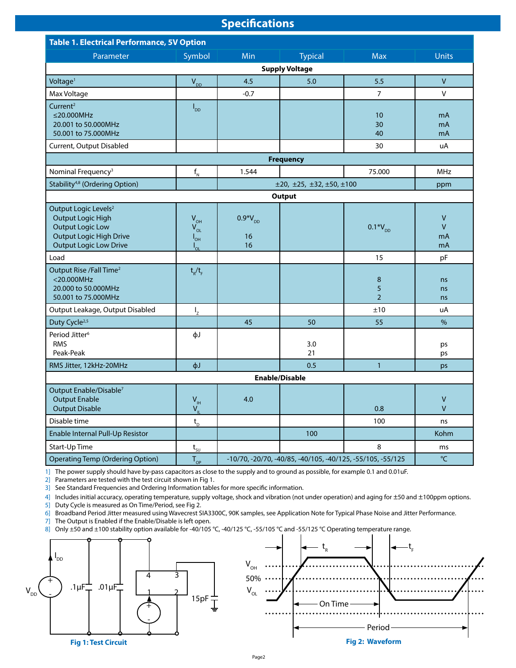## **Specifications**

| <b>Table 1. Electrical Performance, 5V Option</b>                                                                                                          |                                                     |                                                                  |                                           |                          |                                    |  |  |  |  |
|------------------------------------------------------------------------------------------------------------------------------------------------------------|-----------------------------------------------------|------------------------------------------------------------------|-------------------------------------------|--------------------------|------------------------------------|--|--|--|--|
| Parameter                                                                                                                                                  | Symbol                                              | Min                                                              | <b>Typical</b>                            | <b>Max</b>               | <b>Units</b>                       |  |  |  |  |
| <b>Supply Voltage</b>                                                                                                                                      |                                                     |                                                                  |                                           |                          |                                    |  |  |  |  |
| Voltage <sup>1</sup>                                                                                                                                       | $V_{DD}$                                            | 4.5                                                              | 5.0                                       | 5.5                      | $\mathsf{V}$                       |  |  |  |  |
| Max Voltage                                                                                                                                                |                                                     | $-0.7$                                                           |                                           | $\overline{7}$           | V                                  |  |  |  |  |
| Current <sup>2</sup><br>$\leq$ 20.000MHz<br>20.001 to 50.000MHz<br>50.001 to 75.000MHz                                                                     | $I_{DD}$                                            |                                                                  |                                           | 10<br>30<br>40           | mA<br>mA<br>mA                     |  |  |  |  |
| Current, Output Disabled                                                                                                                                   |                                                     |                                                                  |                                           | 30                       | uA                                 |  |  |  |  |
|                                                                                                                                                            |                                                     |                                                                  | <b>Frequency</b>                          |                          |                                    |  |  |  |  |
| Nominal Frequency <sup>3</sup>                                                                                                                             | $f_{N}$                                             | 1.544                                                            |                                           | 75.000                   | <b>MHz</b>                         |  |  |  |  |
| Stability <sup>4,8</sup> (Ordering Option)                                                                                                                 |                                                     |                                                                  | $\pm 20, \pm 25, \pm 32, \pm 50, \pm 100$ |                          | ppm                                |  |  |  |  |
|                                                                                                                                                            |                                                     |                                                                  | Output                                    |                          |                                    |  |  |  |  |
| Output Logic Levels <sup>2</sup><br><b>Output Logic High</b><br><b>Output Logic Low</b><br><b>Output Logic High Drive</b><br><b>Output Logic Low Drive</b> | $V_{OH}$<br>$V_{OL}$<br>$I_{\text{OH}}$<br>$I_{OL}$ | $0.9*V_{DD}$<br>16<br>16                                         |                                           | $0.1*V_{DD}$             | $\mathsf{V}$<br>$\vee$<br>mA<br>mA |  |  |  |  |
| Load                                                                                                                                                       |                                                     |                                                                  |                                           | 15                       | pF                                 |  |  |  |  |
| Output Rise /Fall Time <sup>2</sup><br>$<$ 20.000MHz<br>20,000 to 50,000MHz<br>50.001 to 75.000MHz                                                         | $t_R/t_F$                                           |                                                                  |                                           | 8<br>5<br>$\overline{2}$ | ns<br>ns<br>ns                     |  |  |  |  |
| Output Leakage, Output Disabled                                                                                                                            | $I_{Z}$                                             |                                                                  |                                           | ±10                      | uA                                 |  |  |  |  |
| Duty Cycle <sup>2,5</sup>                                                                                                                                  |                                                     | 45                                                               | 50                                        | 55                       | $\%$                               |  |  |  |  |
| Period Jitter <sup>6</sup><br><b>RMS</b><br>Peak-Peak                                                                                                      | фJ                                                  |                                                                  | 3.0<br>21                                 |                          | ps<br>ps                           |  |  |  |  |
| RMS Jitter, 12kHz-20MHz                                                                                                                                    | фJ                                                  |                                                                  | 0.5                                       | $\mathbf{1}$             | ps                                 |  |  |  |  |
|                                                                                                                                                            |                                                     |                                                                  | <b>Enable/Disable</b>                     |                          |                                    |  |  |  |  |
| Output Enable/Disable <sup>7</sup><br><b>Output Enable</b><br><b>Output Disable</b>                                                                        | $V_{\text{IH}}$<br>$V_{\parallel}$                  | 4.0                                                              |                                           | 0.8                      | V<br>$\overline{V}$                |  |  |  |  |
| Disable time                                                                                                                                               | $\mathsf{t}_{\scriptscriptstyle\mathsf{D}}$         |                                                                  |                                           | 100                      | ns                                 |  |  |  |  |
| Enable Internal Pull-Up Resistor                                                                                                                           |                                                     |                                                                  | 100                                       |                          | Kohm                               |  |  |  |  |
| Start-Up Time                                                                                                                                              | $t_{\text{su}}$                                     |                                                                  |                                           | 8                        | ms                                 |  |  |  |  |
| <b>Operating Temp (Ordering Option)</b>                                                                                                                    | $T_{OP}$                                            | °C<br>-10/70, -20/70, -40/85, -40/105, -40/125, -55/105, -55/125 |                                           |                          |                                    |  |  |  |  |

1] The power supply should have by-pass capacitors as close to the supply and to ground as possible, for example 0.1 and 0.01uF.

2] Parameters are tested with the test circuit shown in Fig 1.

3] See Standard Frequencies and Ordering Information tables for more specific information.

4] Includes initial accuracy, operating temperature, supply voltage, shock and vibration (not under operation) and aging for  $\pm 50$  and  $\pm 100$ ppm options.<br>5] Duty Cycle is measured as On Time/Period, see Fig 2. Duty Cycle is measured as On Time/Period, see Fig 2.

6] Broadband Period Jitter measured using Wavecrest SIA3300C, 90K samples, see Application Note for Typical Phase Noise and Jitter Performance.

7] The Output is Enabled if the Enable/Disable is left open.<br>8] Only  $\pm 50$  and  $\pm 100$  stability option available for -40/105 Only ±50 and ±100 stability option available for -40/105 °C, -40/125 °C, -55/105 °C and -55/125 °C Operating temperature range.





**Fig 2: Waveform**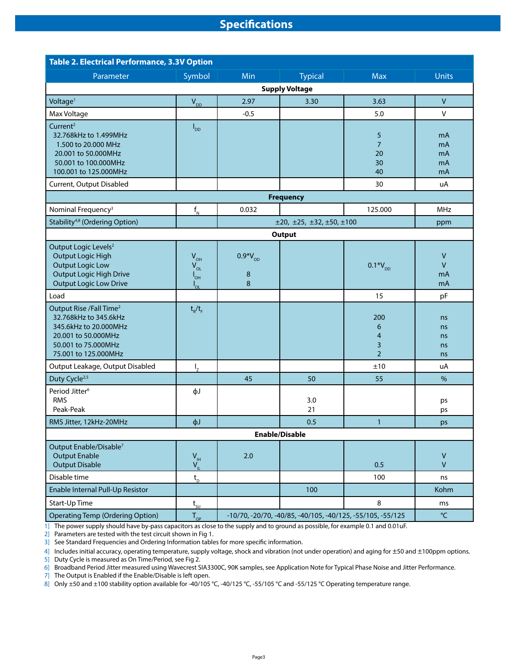## **Specifications**

| <b>Table 2. Electrical Performance, 3.3V Option</b>                                                                                                         |                                                     |                                                                            |                          |                                       |                            |  |  |  |  |
|-------------------------------------------------------------------------------------------------------------------------------------------------------------|-----------------------------------------------------|----------------------------------------------------------------------------|--------------------------|---------------------------------------|----------------------------|--|--|--|--|
| Parameter                                                                                                                                                   | Symbol                                              | Min                                                                        | <b>Typical</b>           | <b>Max</b>                            | <b>Units</b>               |  |  |  |  |
|                                                                                                                                                             |                                                     |                                                                            | <b>Supply Voltage</b>    |                                       |                            |  |  |  |  |
| Voltage <sup>1</sup>                                                                                                                                        | $V_{DD}$                                            | 2.97                                                                       | 3.30                     | 3.63                                  | $\mathsf{V}$               |  |  |  |  |
| Max Voltage                                                                                                                                                 |                                                     | $-0.5$                                                                     |                          | 5.0                                   | V                          |  |  |  |  |
| Current <sup>2</sup><br>32.768kHz to 1.499MHz<br>1.500 to 20.000 MHz<br>20.001 to 50.000MHz<br>50.001 to 100.000MHz<br>100.001 to 125.000MHz                | $I_{DD}$                                            |                                                                            |                          | 5<br>$\overline{7}$<br>20<br>30<br>40 | mA<br>mA<br>mA<br>mA<br>mA |  |  |  |  |
| Current, Output Disabled                                                                                                                                    |                                                     |                                                                            |                          | 30                                    | uA                         |  |  |  |  |
| <b>Frequency</b>                                                                                                                                            |                                                     |                                                                            |                          |                                       |                            |  |  |  |  |
| Nominal Frequency <sup>3</sup>                                                                                                                              | $\mathsf{f}_{_{\sf N}}$                             | 0.032                                                                      |                          | 125.000                               | <b>MHz</b>                 |  |  |  |  |
| Stability <sup>4,8</sup> (Ordering Option)                                                                                                                  |                                                     |                                                                            | ±20, ±25, ±32, ±50, ±100 |                                       | ppm                        |  |  |  |  |
| Output Logic Levels <sup>2</sup>                                                                                                                            |                                                     |                                                                            | <b>Output</b>            |                                       |                            |  |  |  |  |
| <b>Output Logic High</b><br><b>Output Logic Low</b><br><b>Output Logic High Drive</b><br><b>Output Logic Low Drive</b>                                      | $V_{OH}$<br>$V_{OL}$<br>$I_{\text{OH}}$<br>$I_{OL}$ | $0.9*V_{DD}$<br>8<br>8                                                     |                          | $0.1*V_{DD}$                          | V<br>V<br>mA<br>mA         |  |  |  |  |
| Load                                                                                                                                                        |                                                     |                                                                            |                          | 15                                    | pF                         |  |  |  |  |
| Output Rise /Fall Time <sup>2</sup><br>32.768kHz to 345.6kHz<br>345.6kHz to 20.000MHz<br>20.001 to 50.000MHz<br>50.001 to 75.000MHz<br>75.001 to 125.000MHz | $t_R/t_F$                                           |                                                                            |                          | 200<br>6<br>4<br>3<br>$\overline{2}$  | ns<br>ns<br>ns<br>ns<br>ns |  |  |  |  |
| Output Leakage, Output Disabled                                                                                                                             | $I_{Z}$                                             |                                                                            |                          | ±10                                   | uA                         |  |  |  |  |
| Duty Cycle <sup>2,5</sup>                                                                                                                                   |                                                     | 45                                                                         | 50                       | 55                                    | $\%$                       |  |  |  |  |
| Period Jitter <sup>6</sup><br><b>RMS</b><br>Peak-Peak                                                                                                       | фJ                                                  |                                                                            | 3.0<br>21                |                                       | ps<br>ps                   |  |  |  |  |
| RMS Jitter, 12kHz-20MHz                                                                                                                                     | фJ                                                  |                                                                            | 0.5                      | $\mathbf{1}$                          | ps                         |  |  |  |  |
|                                                                                                                                                             |                                                     |                                                                            | <b>Enable/Disable</b>    |                                       |                            |  |  |  |  |
| Output Enable/Disable <sup>7</sup><br><b>Output Enable</b><br><b>Output Disable</b>                                                                         | $V_{\rm IH}$<br>$V_{\parallel}$                     | $2.0$                                                                      |                          | 0.5                                   | V<br>$\mathsf{V}$          |  |  |  |  |
| Disable time                                                                                                                                                | $t_{\rm D}$                                         |                                                                            |                          | 100                                   | ns                         |  |  |  |  |
| Enable Internal Pull-Up Resistor                                                                                                                            |                                                     |                                                                            | 100                      |                                       | Kohm                       |  |  |  |  |
| Start-Up Time                                                                                                                                               | $t_{\rm SU}$                                        |                                                                            |                          | 8                                     | ms                         |  |  |  |  |
| <b>Operating Temp (Ordering Option)</b>                                                                                                                     | $T_{_{OP}}$                                         | $\mathrm{C}$<br>-10/70, -20/70, -40/85, -40/105, -40/125, -55/105, -55/125 |                          |                                       |                            |  |  |  |  |

1] The power supply should have by-pass capacitors as close to the supply and to ground as possible, for example 0.1 and 0.01 uF.

2] Parameters are tested with the test circuit shown in Fig 1.

3] See Standard Frequencies and Ordering Information tables for more specific information.

4] Includes initial accuracy, operating temperature, supply voltage, shock and vibration (not under operation) and aging for ±50 and ±100ppm options.

5] Duty Cycle is measured as On Time/Period, see Fig 2.

6] Broadband Period Jitter measured using Wavecrest SIA3300C, 90K samples, see Application Note for Typical Phase Noise and Jitter Performance.

7] The Output is Enabled if the Enable/Disable is left open.

8] Only ±50 and ±100 stability option available for -40/105 °C, -40/125 °C, -55/105 °C and -55/125 °C Operating temperature range.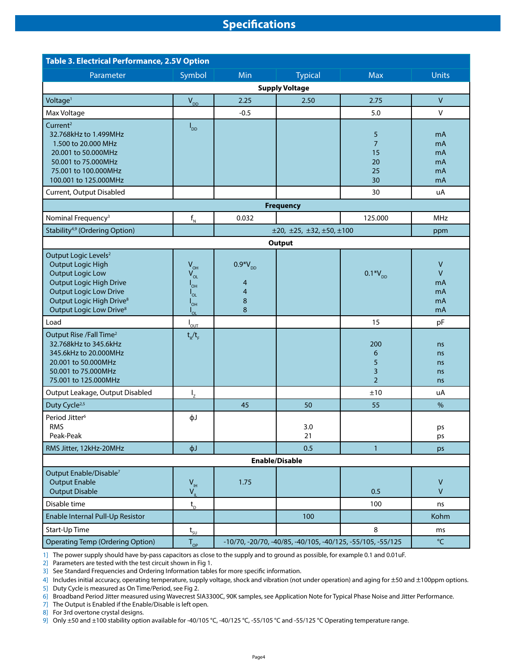## **Specifications**

| <b>Table 3. Electrical Performance, 2.5V Option</b>                                                                                                                                                                                       |                                                                                         |                                                                                       |                          |                                             |                                     |  |  |
|-------------------------------------------------------------------------------------------------------------------------------------------------------------------------------------------------------------------------------------------|-----------------------------------------------------------------------------------------|---------------------------------------------------------------------------------------|--------------------------|---------------------------------------------|-------------------------------------|--|--|
| Parameter                                                                                                                                                                                                                                 | Symbol                                                                                  | <b>Min</b>                                                                            | <b>Typical</b>           | <b>Max</b>                                  | <b>Units</b>                        |  |  |
|                                                                                                                                                                                                                                           |                                                                                         |                                                                                       | <b>Supply Voltage</b>    |                                             |                                     |  |  |
| Voltage <sup>1</sup>                                                                                                                                                                                                                      | $V_{DD}$                                                                                | 2.25                                                                                  | 2.50                     | 2.75                                        | $\vee$                              |  |  |
| Max Voltage                                                                                                                                                                                                                               |                                                                                         | $-0.5$                                                                                |                          | 5.0                                         | $\vee$                              |  |  |
| Current <sup>2</sup><br>32.768kHz to 1.499MHz<br>1.500 to 20.000 MHz<br>20.001 to 50.000MHz<br>50.001 to 75.000MHz<br>75.001 to 100.000MHz<br>100.001 to 125.000MHz                                                                       | $I_{DD}$                                                                                |                                                                                       |                          | 5<br>$\overline{7}$<br>15<br>20<br>25<br>30 | mA<br>mA<br>mA<br>mA<br>mA<br>mA    |  |  |
| Current, Output Disabled                                                                                                                                                                                                                  |                                                                                         |                                                                                       |                          | 30                                          | uA                                  |  |  |
|                                                                                                                                                                                                                                           |                                                                                         |                                                                                       | <b>Frequency</b>         |                                             |                                     |  |  |
| Nominal Frequency <sup>3</sup>                                                                                                                                                                                                            | $f_{N}$                                                                                 | 0.032                                                                                 |                          | 125.000                                     | <b>MHz</b>                          |  |  |
| Stability <sup>4,9</sup> (Ordering Option)                                                                                                                                                                                                |                                                                                         |                                                                                       | ±20, ±25, ±32, ±50, ±100 |                                             | ppm                                 |  |  |
| <b>Output</b>                                                                                                                                                                                                                             |                                                                                         |                                                                                       |                          |                                             |                                     |  |  |
| Output Logic Levels <sup>2</sup><br><b>Output Logic High</b><br><b>Output Logic Low</b><br><b>Output Logic High Drive</b><br><b>Output Logic Low Drive</b><br>Output Logic High Drive <sup>8</sup><br>Output Logic Low Drive <sup>8</sup> | $V_{OH}$<br>$V_{OL}$<br>$I_{\text{OH}}$<br>$I_{OL}$<br>$I_{\text{OH}}$<br>$I_{\circ L}$ | $0.9*V_{DD}$<br>4<br>$\overline{4}$<br>8<br>8                                         |                          | $0.1*V_{DD}$                                | V<br>$\vee$<br>mA<br>mA<br>mA<br>mA |  |  |
| Load                                                                                                                                                                                                                                      | $I_{\text{OUT}}$                                                                        |                                                                                       |                          | 15                                          | pF                                  |  |  |
| Output Rise /Fall Time <sup>2</sup><br>32.768kHz to 345.6kHz<br>345.6kHz to 20.000MHz<br>20.001 to 50.000MHz<br>50.001 to 75.000MHz<br>75.001 to 125.000MHz                                                                               | $t_R/t_F$                                                                               |                                                                                       |                          | 200<br>6<br>5<br>3<br>$\overline{2}$        | ns<br>ns<br>ns<br>ns<br>ns          |  |  |
| Output Leakage, Output Disabled                                                                                                                                                                                                           | $I_{z}$                                                                                 |                                                                                       |                          | ±10                                         | uA                                  |  |  |
| Duty Cycle <sup>2,5</sup>                                                                                                                                                                                                                 |                                                                                         | 45                                                                                    | 50                       | 55                                          | $\%$                                |  |  |
| Period Jitter <sup>6</sup><br><b>RMS</b><br>Peak-Peak                                                                                                                                                                                     | фJ                                                                                      |                                                                                       | 3.0<br>21                |                                             | ps<br>ps                            |  |  |
| RMS Jitter, 12kHz-20MHz                                                                                                                                                                                                                   | фJ                                                                                      |                                                                                       | 0.5                      | $\mathbf{1}$                                | ps                                  |  |  |
|                                                                                                                                                                                                                                           |                                                                                         |                                                                                       | <b>Enable/Disable</b>    |                                             |                                     |  |  |
| Output Enable/Disable <sup>7</sup><br><b>Output Enable</b><br><b>Output Disable</b>                                                                                                                                                       | V <sub>1H</sub><br>$V_{\parallel}$                                                      | 1.75                                                                                  |                          | 0.5                                         | V<br>$\mathsf{V}$                   |  |  |
| Disable time                                                                                                                                                                                                                              | $t_{\rm D}$                                                                             |                                                                                       |                          | 100                                         | ns                                  |  |  |
| Enable Internal Pull-Up Resistor                                                                                                                                                                                                          |                                                                                         |                                                                                       | 100                      |                                             | Kohm                                |  |  |
| Start-Up Time                                                                                                                                                                                                                             | $t_{\rm SU}$                                                                            |                                                                                       |                          | 8                                           | ms                                  |  |  |
| <b>Operating Temp (Ordering Option)</b>                                                                                                                                                                                                   | $T_{OP}$                                                                                | $^{\circ}\!{\mathsf C}$<br>-10/70, -20/70, -40/85, -40/105, -40/125, -55/105, -55/125 |                          |                                             |                                     |  |  |

1] The power supply should have by-pass capacitors as close to the supply and to ground as possible, for example 0.1 and 0.01uF.

2] Parameters are tested with the test circuit shown in Fig 1.

3] See Standard Frequencies and Ordering Information tables for more specific information.

4] Includes initial accuracy, operating temperature, supply voltage, shock and vibration (not under operation) and aging for ±50 and ±100ppm options. 5] Duty Cycle is measured as On Time/Period, see Fig 2.

6] Broadband Period Jitter measured using Wavecrest SIA3300C, 90K samples, see Application Note for Typical Phase Noise and Jitter Performance.

7] The Output is Enabled if the Enable/Disable is left open.

8] For 3rd overtone crystal designs.

9] Only ±50 and ±100 stability option available for -40/105 °C, -40/125 °C, -55/105 °C and -55/125 °C Operating temperature range.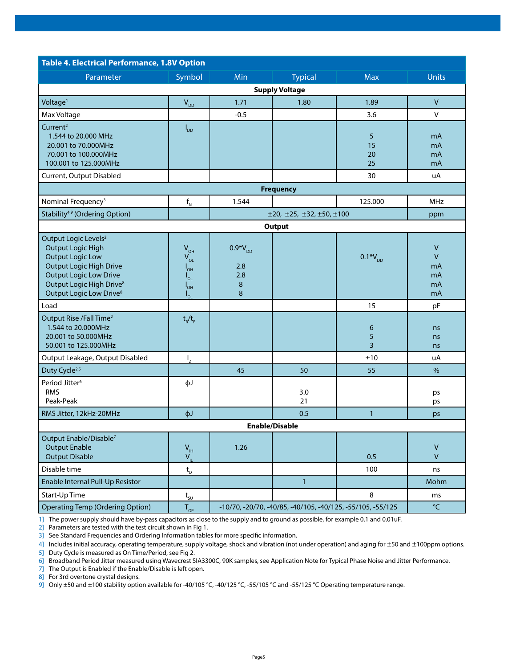| <b>Table 4. Electrical Performance, 1.8V Option</b>                                                                                                                                                                                |                                                                                         |                                            |                                                            |                     |                                                |  |  |
|------------------------------------------------------------------------------------------------------------------------------------------------------------------------------------------------------------------------------------|-----------------------------------------------------------------------------------------|--------------------------------------------|------------------------------------------------------------|---------------------|------------------------------------------------|--|--|
| Parameter                                                                                                                                                                                                                          | Symbol                                                                                  | Min                                        | <b>Typical</b>                                             | <b>Max</b>          | <b>Units</b>                                   |  |  |
|                                                                                                                                                                                                                                    |                                                                                         |                                            | <b>Supply Voltage</b>                                      |                     |                                                |  |  |
| Voltage <sup>1</sup>                                                                                                                                                                                                               | $V_{DD}$                                                                                | 1.71                                       | 1.80                                                       | 1.89                | $\mathsf{V}$                                   |  |  |
| Max Voltage                                                                                                                                                                                                                        |                                                                                         | $-0.5$                                     |                                                            | 3.6                 | $\vee$                                         |  |  |
| Current <sup>2</sup><br>1.544 to 20.000 MHz<br>20.001 to 70.000MHz<br>70.001 to 100.000MHz<br>100.001 to 125.000MHz                                                                                                                | $I_{DD}$                                                                                |                                            |                                                            | 5<br>15<br>20<br>25 | mA<br>mA<br>mA<br>mA                           |  |  |
| Current, Output Disabled                                                                                                                                                                                                           |                                                                                         |                                            |                                                            | 30                  | uA                                             |  |  |
|                                                                                                                                                                                                                                    |                                                                                         |                                            | <b>Frequency</b>                                           |                     |                                                |  |  |
| Nominal Frequency <sup>3</sup>                                                                                                                                                                                                     | $f_{N}$                                                                                 | 1.544                                      |                                                            | 125.000             | MHz                                            |  |  |
| Stability <sup>4,9</sup> (Ordering Option)                                                                                                                                                                                         |                                                                                         |                                            | $\pm 20, \pm 25, \pm 32, \pm 50, \pm 100$                  |                     | ppm                                            |  |  |
|                                                                                                                                                                                                                                    |                                                                                         |                                            | Output                                                     |                     |                                                |  |  |
| Output Logic Levels <sup>2</sup><br><b>Output Logic High</b><br><b>Output Logic Low</b><br>Output Logic High Drive<br><b>Output Logic Low Drive</b><br>Output Logic High Drive <sup>8</sup><br>Output Logic Low Drive <sup>8</sup> | $V_{OH}$<br>$V_{OL}$<br>$I_{\text{OH}}$<br>$I_{OL}$<br>$I_{\text{OH}}$<br>$I_{\circ L}$ | $0.9*V_{DD}$<br>2.8<br>2.8<br>$\bf 8$<br>8 |                                                            | $0.1*V_{DD}$        | $\vee$<br>$\mathsf{V}$<br>mA<br>mA<br>mA<br>mA |  |  |
| Load                                                                                                                                                                                                                               |                                                                                         |                                            |                                                            | 15                  | pF                                             |  |  |
| Output Rise /Fall Time <sup>2</sup><br>1.544 to 20.000MHz<br>20.001 to 50.000MHz<br>50.001 to 125.000MHz                                                                                                                           | $t_R/t_F$                                                                               |                                            |                                                            | 6<br>5<br>3         | ns<br>ns<br>ns                                 |  |  |
| Output Leakage, Output Disabled                                                                                                                                                                                                    | $I_{z}$                                                                                 |                                            |                                                            | ±10                 | uA                                             |  |  |
| Duty Cycle <sup>2,5</sup>                                                                                                                                                                                                          |                                                                                         | 45                                         | 50                                                         | 55                  | $\%$                                           |  |  |
| Period Jitter <sup>6</sup><br><b>RMS</b><br>Peak-Peak                                                                                                                                                                              | фJ                                                                                      |                                            | 3.0<br>21                                                  |                     | ps<br>ps                                       |  |  |
| RMS Jitter, 12kHz-20MHz                                                                                                                                                                                                            | фJ                                                                                      |                                            | 0.5                                                        | $\mathbf{1}$        | ps                                             |  |  |
|                                                                                                                                                                                                                                    |                                                                                         |                                            | <b>Enable/Disable</b>                                      |                     |                                                |  |  |
| Output Enable/Disable <sup>7</sup><br><b>Output Enable</b><br><b>Output Disable</b><br>Disable time                                                                                                                                | $V_{\text{IH}}$<br>$V_{\parallel}$                                                      | 1.26                                       |                                                            | 0.5<br>100          | $\vee$<br>$\vee$                               |  |  |
| Enable Internal Pull-Up Resistor                                                                                                                                                                                                   | $\mathsf{t}_{_{\sf D}}$                                                                 |                                            | $\mathbf{1}$                                               |                     | ns<br>Mohm                                     |  |  |
| Start-Up Time                                                                                                                                                                                                                      |                                                                                         |                                            |                                                            | 8                   | ms                                             |  |  |
| <b>Operating Temp (Ordering Option)</b>                                                                                                                                                                                            | $t_{\rm su}$<br>$T_{_{OP}}$                                                             |                                            | -10/70, -20/70, -40/85, -40/105, -40/125, -55/105, -55/125 |                     | $\mathrm{C}$                                   |  |  |
|                                                                                                                                                                                                                                    |                                                                                         |                                            |                                                            |                     |                                                |  |  |

1] The power supply should have by-pass capacitors as close to the supply and to ground as possible, for example 0.1 and 0.01uF.

2] Parameters are tested with the test circuit shown in Fig 1.

3] See Standard Frequencies and Ordering Information tables for more specific information.

4] Includes initial accuracy, operating temperature, supply voltage, shock and vibration (not under operation) and aging for ±50 and ±100ppm options.

5] Duty Cycle is measured as On Time/Period, see Fig 2.

6] Broadband Period Jitter measured using Wavecrest SIA3300C, 90K samples, see Application Note for Typical Phase Noise and Jitter Performance.

7] The Output is Enabled if the Enable/Disable is left open.

8] For 3rd overtone crystal designs.

9] Only ±50 and ±100 stability option available for -40/105 °C, -40/125 °C, -55/105 °C and -55/125 °C Operating temperature range.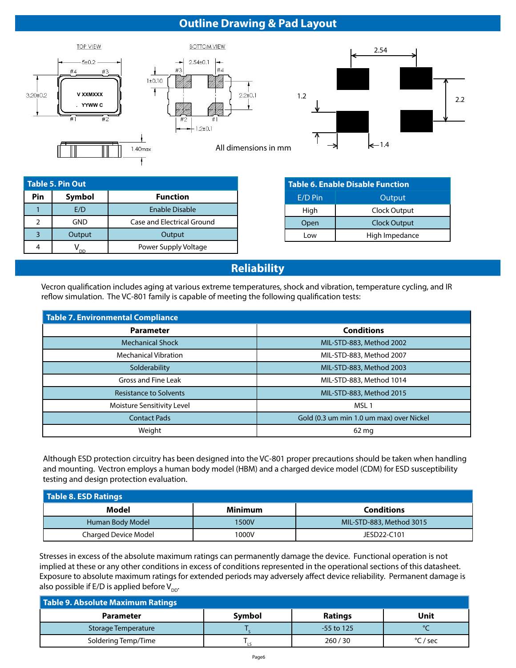# **Outline Drawing & Pad Layout**







All dimensions in mm

| <b>Table 5. Pin Out</b> |                           |                                   |  |  |  |  |
|-------------------------|---------------------------|-----------------------------------|--|--|--|--|
| Pin                     | Symbol<br><b>Function</b> |                                   |  |  |  |  |
|                         | E/D                       | Enable Disable                    |  |  |  |  |
|                         | GND                       | <b>Case and Electrical Ground</b> |  |  |  |  |
| 3                       | Output                    | Output                            |  |  |  |  |
|                         |                           | Power Supply Voltage              |  |  |  |  |

| Table 6. Enable Disable Function |                     |  |  |  |
|----------------------------------|---------------------|--|--|--|
| $E/D$ Pin                        | Output              |  |  |  |
| High                             | Clock Output        |  |  |  |
| Open                             | <b>Clock Output</b> |  |  |  |
| l ow                             | High Impedance      |  |  |  |

## **Reliability**

Vecron qualification includes aging at various extreme temperatures, shock and vibration, temperature cycling, and IR reflow simulation. The VC-801 family is capable of meeting the following qualification tests:

| Table 7. Environmental Compliance |                                          |  |  |  |  |
|-----------------------------------|------------------------------------------|--|--|--|--|
| <b>Parameter</b>                  | <b>Conditions</b>                        |  |  |  |  |
| <b>Mechanical Shock</b>           | MIL-STD-883, Method 2002                 |  |  |  |  |
| <b>Mechanical Vibration</b>       | MIL-STD-883, Method 2007                 |  |  |  |  |
| Solderability                     | MIL-STD-883, Method 2003                 |  |  |  |  |
| Gross and Fine Leak               | MIL-STD-883, Method 1014                 |  |  |  |  |
| <b>Resistance to Solvents</b>     | MIL-STD-883, Method 2015                 |  |  |  |  |
| Moisture Sensitivity Level        | MSL <sub>1</sub>                         |  |  |  |  |
| <b>Contact Pads</b>               | Gold (0.3 um min 1.0 um max) over Nickel |  |  |  |  |
| Weight                            | 62 mg                                    |  |  |  |  |

Although ESD protection circuitry has been designed into the VC-801 proper precautions should be taken when handling and mounting. Vectron employs a human body model (HBM) and a charged device model (CDM) for ESD susceptibility testing and design protection evaluation.

| Table 8. ESD Ratings |                |                          |  |  |  |  |  |
|----------------------|----------------|--------------------------|--|--|--|--|--|
| Model                | <b>Minimum</b> | <b>Conditions</b>        |  |  |  |  |  |
| Human Body Model     | 1500V          | MIL-STD-883, Method 3015 |  |  |  |  |  |
| Charged Device Model | 1000V          | JESD22-C101              |  |  |  |  |  |

Stresses in excess of the absolute maximum ratings can permanently damage the device. Functional operation is not implied at these or any other conditions in excess of conditions represented in the operational sections of this datasheet. Exposure to absolute maximum ratings for extended periods may adversely affect device reliability. Permanent damage is also possible if E/D is applied before  $V_{\text{DD}}$ .

| Table 9. Absolute Maximum Ratings |        |                |          |  |  |  |  |
|-----------------------------------|--------|----------------|----------|--|--|--|--|
| <b>Parameter</b>                  | Symbol | <b>Ratings</b> | Unit     |  |  |  |  |
| Storage Temperature               |        | $-55$ to 125   |          |  |  |  |  |
| Soldering Temp/Time               |        | 260/30         | °C / sec |  |  |  |  |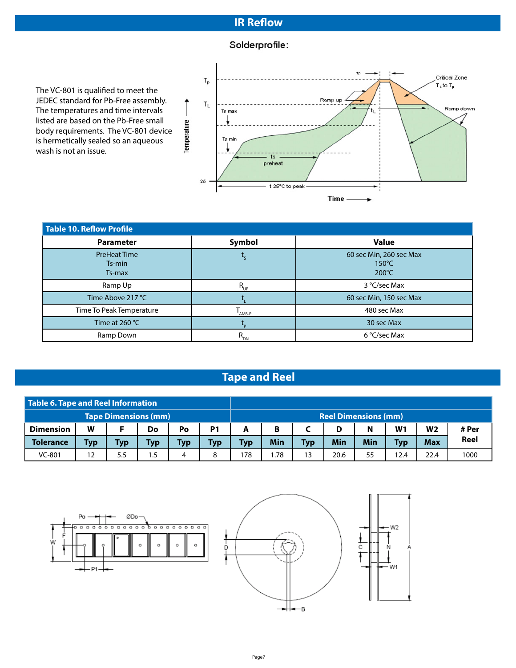## **IR Reflow**

## Solderprofile:

The VC-801 is qualified to meet the JEDEC standard for Pb-Free assembly. The temperatures and time intervals listed are based on the Pb-Free small body requirements. The VC-801 device is hermetically sealed so an aqueous wash is not an issue.



| Table 10. Reflow Profile                |             |                                                               |  |  |  |  |
|-----------------------------------------|-------------|---------------------------------------------------------------|--|--|--|--|
| <b>Parameter</b>                        | Symbol      | <b>Value</b>                                                  |  |  |  |  |
| <b>PreHeat Time</b><br>Ts-min<br>Ts-max |             | 60 sec Min, 260 sec Max<br>$150^{\circ}$ C<br>$200^{\circ}$ C |  |  |  |  |
| Ramp Up                                 | $R_{_{UP}}$ | 3 °C/sec Max                                                  |  |  |  |  |
| Time Above 217 °C                       |             | 60 sec Min, 150 sec Max                                       |  |  |  |  |
| Time To Peak Temperature                | AMB-P       | 480 sec Max                                                   |  |  |  |  |
| Time at 260 $^{\circ}$ C                |             | 30 sec Max                                                    |  |  |  |  |
| Ramp Down                               | $R_{_{DN}}$ | 6 °C/sec Max                                                  |  |  |  |  |

# **Tape and Reel**

| Table 6. Tape and Reel Information |     |                             |     |     |            |                             |     |            |      |            |                |                |       |
|------------------------------------|-----|-----------------------------|-----|-----|------------|-----------------------------|-----|------------|------|------------|----------------|----------------|-------|
|                                    |     | <b>Tape Dimensions (mm)</b> |     |     |            | <b>Reel Dimensions (mm)</b> |     |            |      |            |                |                |       |
| <b>Dimension</b>                   | W   |                             | Do  | Po  | P1         | A                           | B   |            | D    | N          | W <sub>1</sub> | W <sub>2</sub> | # Per |
| <b>Tolerance</b>                   | Тур | Typ                         | Тур | Typ | <b>Typ</b> | <b>Typ</b>                  | Min | <b>Typ</b> | Min  | <b>Min</b> | <b>Typ</b>     | <b>Max</b>     | Reel  |
| VC-801                             |     | 5.5                         | 1.5 | 4   | 8          | 178                         | .78 | 13         | 20.6 | 55         | 12.4           | 22.4           | 1000  |

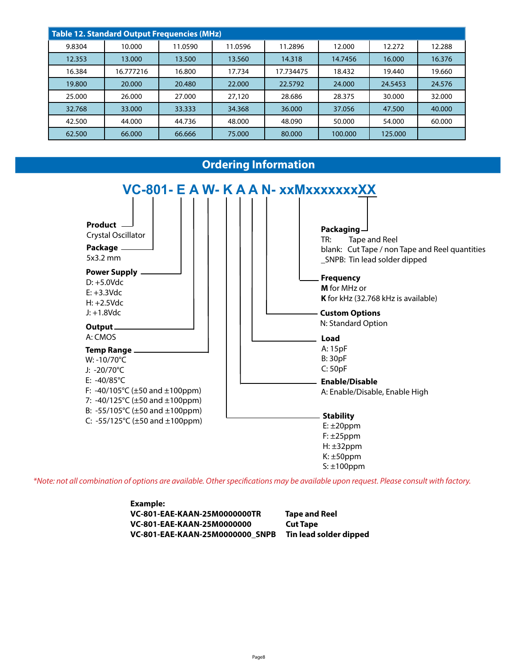| Table 12. Standard Output Frequencies (MHz) |           |         |         |           |         |         |        |  |  |  |
|---------------------------------------------|-----------|---------|---------|-----------|---------|---------|--------|--|--|--|
| 9.8304                                      | 10.000    | 11.0590 | 11.0596 | 11.2896   | 12.000  | 12.272  | 12.288 |  |  |  |
| 12.353                                      | 13.000    | 13.500  | 13.560  | 14.318    | 14.7456 | 16.000  | 16.376 |  |  |  |
| 16.384                                      | 16.777216 | 16.800  | 17.734  | 17.734475 | 18.432  | 19.440  | 19.660 |  |  |  |
| 19.800                                      | 20,000    | 20.480  | 22,000  | 22.5792   | 24.000  | 24.5453 | 24.576 |  |  |  |
| 25.000                                      | 26.000    | 27,000  | 27,120  | 28.686    | 28.375  | 30.000  | 32.000 |  |  |  |
| 32.768                                      | 33,000    | 33.333  | 34.368  | 36.000    | 37.056  | 47.500  | 40,000 |  |  |  |
| 42.500                                      | 44.000    | 44.736  | 48.000  | 48.090    | 50.000  | 54.000  | 60.000 |  |  |  |
| 62.500                                      | 66.000    | 66.666  | 75,000  | 80,000    | 100.000 | 125.000 |        |  |  |  |

## **Ordering Information**



\*Note: not all combination of options are available. Other specifications may be available upon request. Please consult with factory.

| Example:                               |                        |
|----------------------------------------|------------------------|
| VC-801-EAE-KAAN-25M0000000TR           | <b>Tape and Reel</b>   |
| VC-801-EAE-KAAN-25M0000000             | <b>Cut Tape</b>        |
| <b>VC-801-EAE-KAAN-25M0000000 SNPB</b> | Tin lead solder dipped |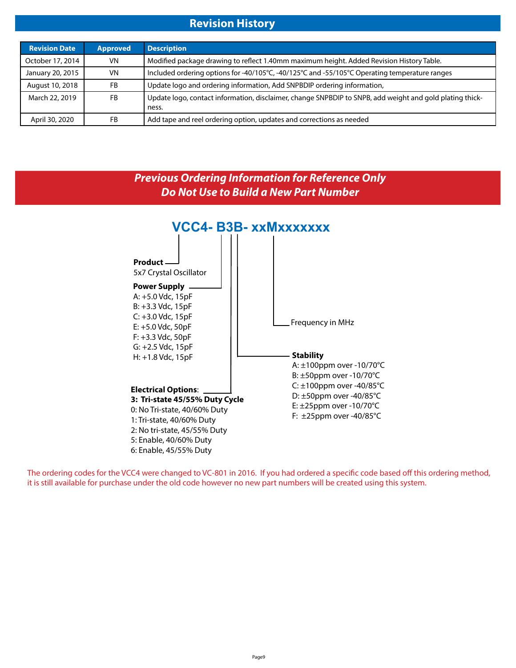## **Revision History**

| <b>Revision Date</b> | <b>Approved</b> | <b>Description</b>                                                                                                |
|----------------------|-----------------|-------------------------------------------------------------------------------------------------------------------|
| October 17, 2014     | <b>VN</b>       | Modified package drawing to reflect 1.40mm maximum height. Added Revision History Table.                          |
| January 20, 2015     | <b>VN</b>       | Included ordering options for -40/105°C, -40/125°C and -55/105°C Operating temperature ranges                     |
| August 10, 2018      | FB              | Update logo and ordering information, Add SNPBDIP ordering information,                                           |
| March 22, 2019       | <b>FB</b>       | Update logo, contact information, disclaimer, change SNPBDIP to SNPB, add weight and gold plating thick-<br>ness. |
| April 30, 2020       | FB              | Add tape and reel ordering option, updates and corrections as needed                                              |



The ordering codes for the VCC4 were changed to VC-801 in 2016. If you had ordered a specific code based off this ordering method, it is still available for purchase under the old code however no new part numbers will be created using this system.